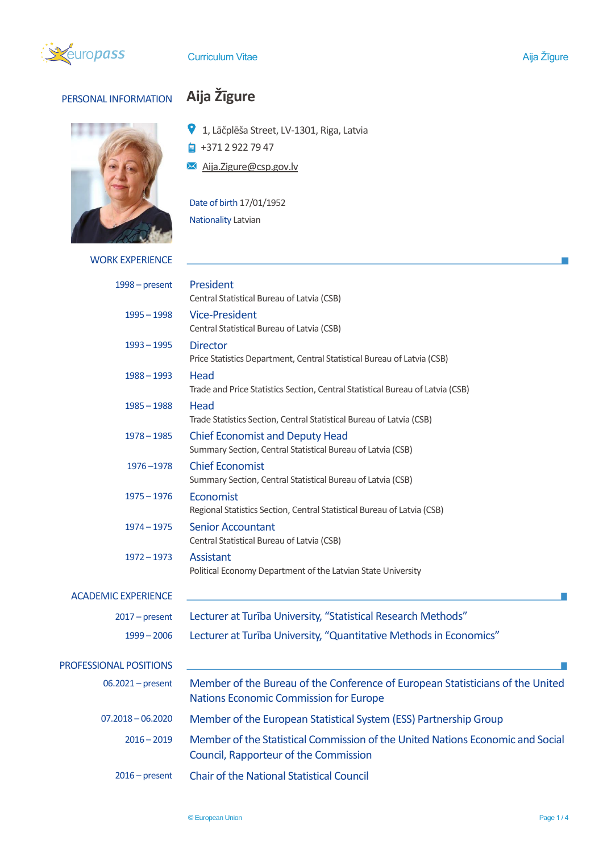

## PERSONAL INFORMATION **Aija Žīgure**



- 1, Lāčplēša Street, LV-1301, Riga, Latvia
- $\frac{1}{2}$  +371 2 922 79 47
- Aija.Zigure@csp.gov.lv

## Date of birth 17/01/1952

Nationality Latvian

WORK EXPERIENCE

| $1998 - present$              | President<br>Central Statistical Bureau of Latvia (CSB)                                                                         |  |  |  |  |
|-------------------------------|---------------------------------------------------------------------------------------------------------------------------------|--|--|--|--|
| $1995 - 1998$                 | <b>Vice-President</b><br>Central Statistical Bureau of Latvia (CSB)                                                             |  |  |  |  |
| $1993 - 1995$                 | <b>Director</b><br>Price Statistics Department, Central Statistical Bureau of Latvia (CSB)                                      |  |  |  |  |
| $1988 - 1993$                 | Head<br>Trade and Price Statistics Section, Central Statistical Bureau of Latvia (CSB)                                          |  |  |  |  |
| $1985 - 1988$                 | Head<br>Trade Statistics Section, Central Statistical Bureau of Latvia (CSB)                                                    |  |  |  |  |
| $1978 - 1985$                 | <b>Chief Economist and Deputy Head</b><br>Summary Section, Central Statistical Bureau of Latvia (CSB)                           |  |  |  |  |
| 1976-1978                     | <b>Chief Economist</b><br>Summary Section, Central Statistical Bureau of Latvia (CSB)                                           |  |  |  |  |
| $1975 - 1976$                 | Economist<br>Regional Statistics Section, Central Statistical Bureau of Latvia (CSB)                                            |  |  |  |  |
| $1974 - 1975$                 | <b>Senior Accountant</b><br>Central Statistical Bureau of Latvia (CSB)                                                          |  |  |  |  |
| $1972 - 1973$                 | Assistant<br>Political Economy Department of the Latvian State University                                                       |  |  |  |  |
| <b>ACADEMIC EXPERIENCE</b>    |                                                                                                                                 |  |  |  |  |
| $2017$ – present              | Lecturer at Turiba University, "Statistical Research Methods"                                                                   |  |  |  |  |
| $1999 - 2006$                 | Lecturer at Turība University, "Quantitative Methods in Economics"                                                              |  |  |  |  |
| <b>PROFESSIONAL POSITIONS</b> |                                                                                                                                 |  |  |  |  |
| $06.2021$ – present           | Member of the Bureau of the Conference of European Statisticians of the United<br><b>Nations Economic Commission for Europe</b> |  |  |  |  |
| $07.2018 - 06.2020$           | Member of the European Statistical System (ESS) Partnership Group                                                               |  |  |  |  |
| $2016 - 2019$                 | Member of the Statistical Commission of the United Nations Economic and Social<br>Council, Rapporteur of the Commission         |  |  |  |  |
| $2016$ – present              | <b>Chair of the National Statistical Council</b>                                                                                |  |  |  |  |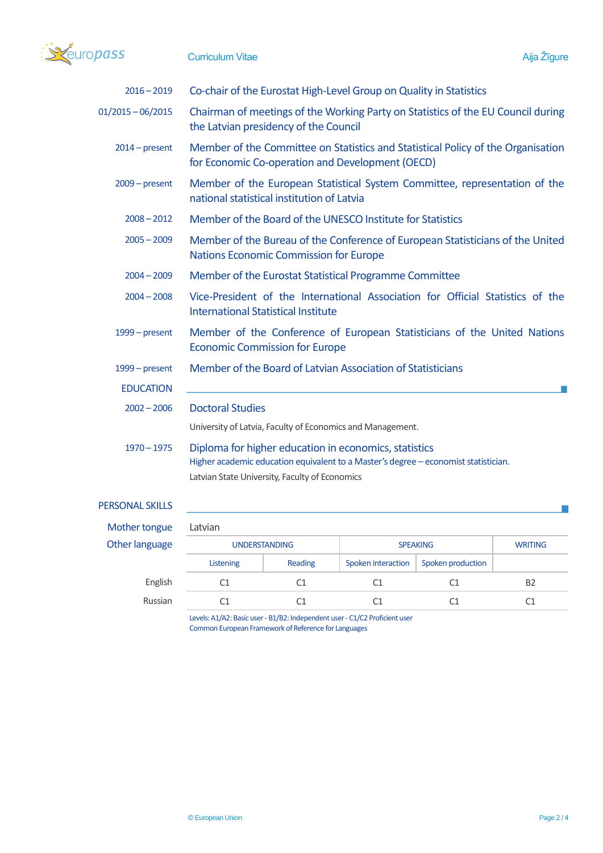

| $2016 - 2019$       | Co-chair of the Eurostat High-Level Group on Quality in Statistics                                                                                                                             |  |  |  |
|---------------------|------------------------------------------------------------------------------------------------------------------------------------------------------------------------------------------------|--|--|--|
| $01/2015 - 06/2015$ | Chairman of meetings of the Working Party on Statistics of the EU Council during<br>the Latvian presidency of the Council                                                                      |  |  |  |
| $2014$ – present    | Member of the Committee on Statistics and Statistical Policy of the Organisation<br>for Economic Co-operation and Development (OECD)                                                           |  |  |  |
| $2009$ – present    | Member of the European Statistical System Committee, representation of the<br>national statistical institution of Latvia                                                                       |  |  |  |
| $2008 - 2012$       | Member of the Board of the UNESCO Institute for Statistics                                                                                                                                     |  |  |  |
| $2005 - 2009$       | Member of the Bureau of the Conference of European Statisticians of the United<br><b>Nations Economic Commission for Europe</b>                                                                |  |  |  |
| $2004 - 2009$       | Member of the Eurostat Statistical Programme Committee                                                                                                                                         |  |  |  |
| $2004 - 2008$       | Vice-President of the International Association for Official Statistics of the<br><b>International Statistical Institute</b>                                                                   |  |  |  |
| $1999 - present$    | Member of the Conference of European Statisticians of the United Nations<br><b>Economic Commission for Europe</b>                                                                              |  |  |  |
| 1999 – present      | Member of the Board of Latvian Association of Statisticians                                                                                                                                    |  |  |  |
| <b>EDUCATION</b>    |                                                                                                                                                                                                |  |  |  |
| $2002 - 2006$       | <b>Doctoral Studies</b>                                                                                                                                                                        |  |  |  |
|                     | University of Latvia, Faculty of Economics and Management.                                                                                                                                     |  |  |  |
| $1970 - 1975$       | Diploma for higher education in economics, statistics<br>Higher academic education equivalent to a Master's degree - economist statistician.<br>Latvian State University, Faculty of Economics |  |  |  |

## PERSONAL SKILLS

| Mother tongue  | Latvian              |                |                    |                   |                |  |  |  |
|----------------|----------------------|----------------|--------------------|-------------------|----------------|--|--|--|
| Other language | <b>UNDERSTANDING</b> |                | <b>SPEAKING</b>    |                   | <b>WRITING</b> |  |  |  |
|                | Listening            | Reading        | Spoken interaction | Spoken production |                |  |  |  |
| English        |                      | C <sub>1</sub> | C1                 | C1                | <b>B2</b>      |  |  |  |
| Russian        |                      | C1             | C1                 | C1                | C1             |  |  |  |
|                |                      |                |                    |                   |                |  |  |  |

Levels: A1/A2: Basic user - B1/B2: Independent user - C1/C2 Proficient user Common European Framework of Reference for Languages

 $\overline{\phantom{a}}$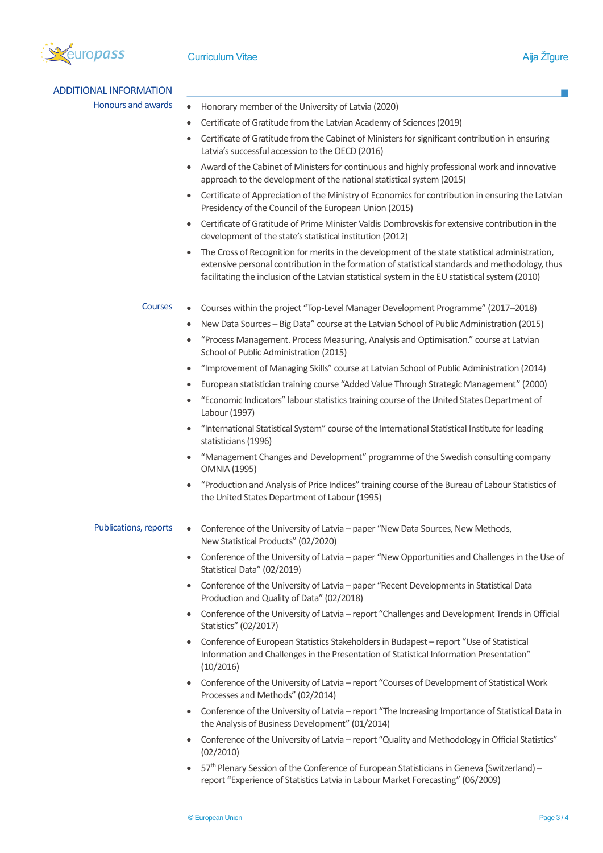

ADDITIONAL INFORMATION

- Honours and awards Honorary member of the University of Latvia (2020)
	- Certificate of Gratitude from the Latvian Academy of Sciences (2019)
	- Certificate of Gratitude from the Cabinet of Ministers for significant contribution in ensuring Latvia's successful accession to the OECD (2016)
	- Award of the Cabinet of Ministers for continuous and highly professional work and innovative approach to the development of the national statistical system (2015)
	- Certificate of Appreciation of the Ministry of Economics for contribution in ensuring the Latvian Presidency of the Council of the European Union (2015)
	- Certificate of Gratitude of Prime Minister Valdis Dombrovskis for extensive contribution in the development of the state's statistical institution (2012)
	- The Cross of Recognition for merits in the development of the state statistical administration, extensive personal contribution in the formation of statistical standards and methodology, thus facilitating the inclusion of the Latvian statistical system in the EU statistical system (2010)
	- Courses Courses within the project "Top-Level Manager Development Programme" (2017–2018)
		- New Data Sources Big Data" course at the Latvian School of Public Administration (2015)
		- "Process Management. Process Measuring, Analysis and Optimisation." course at Latvian School of Public Administration (2015)
		- "Improvement of Managing Skills" course at Latvian School of Public Administration (2014)
		- European statistician training course "Added Value Through Strategic Management" (2000)
		- "Economic Indicators" labour statistics training course of the United States Department of Labour (1997)
		- "International Statistical System" course of the International Statistical Institute for leading statisticians (1996)
		- "Management Changes and Development" programme of the Swedish consulting company OMNIA (1995)
		- "Production and Analysis of Price Indices" training course of the Bureau of Labour Statistics of the United States Department of Labour (1995)
- Publications, reports Conference of the University of Latvia paper "New Data Sources, New Methods, New Statistical Products" (02/2020)
	- Conference of the University of Latvia paper "New Opportunities and Challenges in the Use of Statistical Data" (02/2019)
	- Conference of the University of Latvia paper "Recent Developments in Statistical Data Production and Quality of Data" (02/2018)
	- Conference of the University of Latvia report "Challenges and Development Trends in Official Statistics" (02/2017)
	- Conference of European Statistics Stakeholders in Budapest report "Use of Statistical Information and Challenges in the Presentation of Statistical Information Presentation" (10/2016)
	- Conference of the University of Latvia report "Courses of Development of Statistical Work Processes and Methods" (02/2014)
	- Conference of the University of Latvia report "The Increasing Importance of Statistical Data in the Analysis of Business Development" (01/2014)
	- Conference of the University of Latvia report "Quality and Methodology in Official Statistics" (02/2010)
	- 57<sup>th</sup> Plenary Session of the Conference of European Statisticians in Geneva (Switzerland) report "Experience of Statistics Latvia in Labour Market Forecasting" (06/2009)